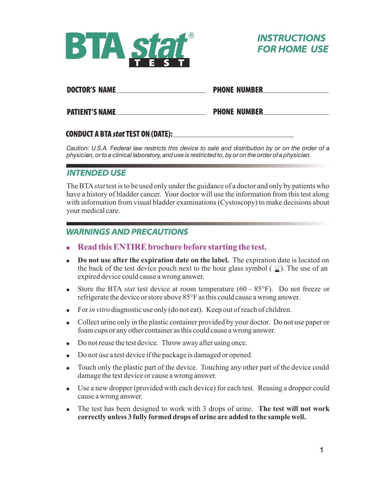



#### **DOCTOR'S NAME**

**PHONE NUMBER** 

**EXAMPLE PHONE NUMBER PATIENT'S NAME** 

### 

*Caution: U.S.A. Federal law restricts this device to sale and distribution by or on the order of a physician, or to a clinical laboratory, and use is restricted to, by or on the order of a physician.*

## **INTENDED USE**

The BTA*stat* test is to be used only under the guidance of a doctor and only by patients who have a history of bladder cancer. Your doctor will use the information from this test along with information from visual bladder examinations (Cystoscopy) to make decisions about your medical care.

## **WARNINGS AND PRECAUTIONS**

- ! **Read this ENTIRE brochure before starting the test.**
- ! **Do not use after the expiration date on the label.** The expiration date is located on the back of the test device pouch next to the hour glass symbol ( $\mathbb{Z}$ ). The use of an expired device could cause a wrong answer.
- ! Store the BTA *stat* test device at room temperature (60 85°F). Do not freeze or refrigerate the device or store above 85°F as this could cause a wrong answer.
- ! For*in vitro* diagnostic use only (do not eat). Keep out of reach of children.
- ! Collect urine only in the plastic container provided by your doctor. Do not use paper or foam cups or any other container as this could cause a wrong answer.
- Do not reuse the test device. Throw away after using once.
- Do not use a test device if the package is damaged or opened.
- Touch only the plastic part of the device. Touching any other part of the device could damage the test device or cause a wrong answer.
- Use a new dropper (provided with each device) for each test. Reusing a dropper could cause a wrong answer.
- ! The test has been designed to work with 3 drops of urine. **The test will not work correctly unless 3 fully formed drops of urine are added to the sample well.**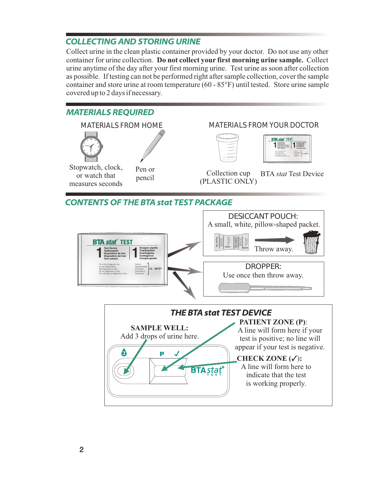# **COLLECTING AND STORING URINE**

Collect urine in the clean plastic container provided by your doctor. Do not use any other container for urine collection. **Do not collect your first morning urine sample.** Collect urine anytime of the day after your first morning urine. Test urine as soon after collection as possible. If testing can not be performed right after sample collection, cover the sample container and store urine at room temperature (60 - 85°F) until tested. Store urine sample covered up to 2 days if necessary.

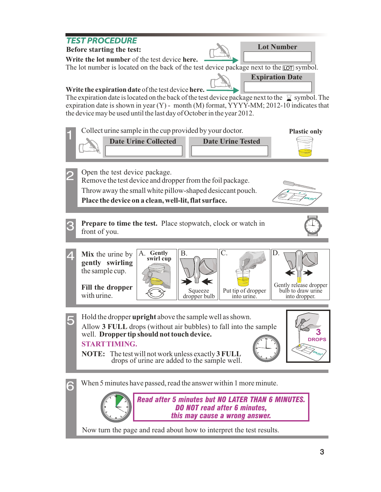#### **TEST PROCEDURE Lot Number Before starting the test: Write the lot number** of the test device **here.**  The lot number is located on the back of the test device package next to the  $\overline{\text{LOT}}$  symbol. **Expiration Date Write the expiration date** of the test device **here.** The expiration date is located on the back of the test device package next to the  $\Box$  symbol. The expiration date is shown in year (Y) - month (M) format, YYYY-MM; 2012-10 indicates that the device may be used until the last day of October in the year 2012. Collect urine sample in the cup provided by your doctor. 1 **Plastic only Date Urine Collected Date Urine Tested**  2 Open the test device package. Remove the test device and dropper from the foil package. Throw away the small white pillow-shaped desiccant pouch. **Place the device on a clean, well-lit, flat surface. Prepare to time the test.** Place stopwatch, clock or watch in 3 front of you. 4 A. Gently  $\parallel$  B.  $\parallel$  C.  $\parallel$  D. **Mix** the urine by **swirl cup gently swirling** the sample cup. Gently release dropper **Fill the dropper** Squeeze bulb to draw urine Put tip of dropper with urine. dropper bulb into dropper. into urine. 5 Hold the dropper **upright** above the sample well as shown. Allow **3 FULL** drops (without air bubbles) to fall into the sample **3** well. **Dropper tip should not touch device. DROPSSTARTTIMING. NOTE:** The test will not work unless exactly **3 FULL** drops of urine are added to the sample well. When 5 minutes have passed, read the answer within 1 more minute. 6

*Read after 5 minutes but NO LATER THAN 6 MINUTES. DO NOT read after 6 minutes, this may cause a wrong answer.*

Now turn the page and read about how to interpret the test results.